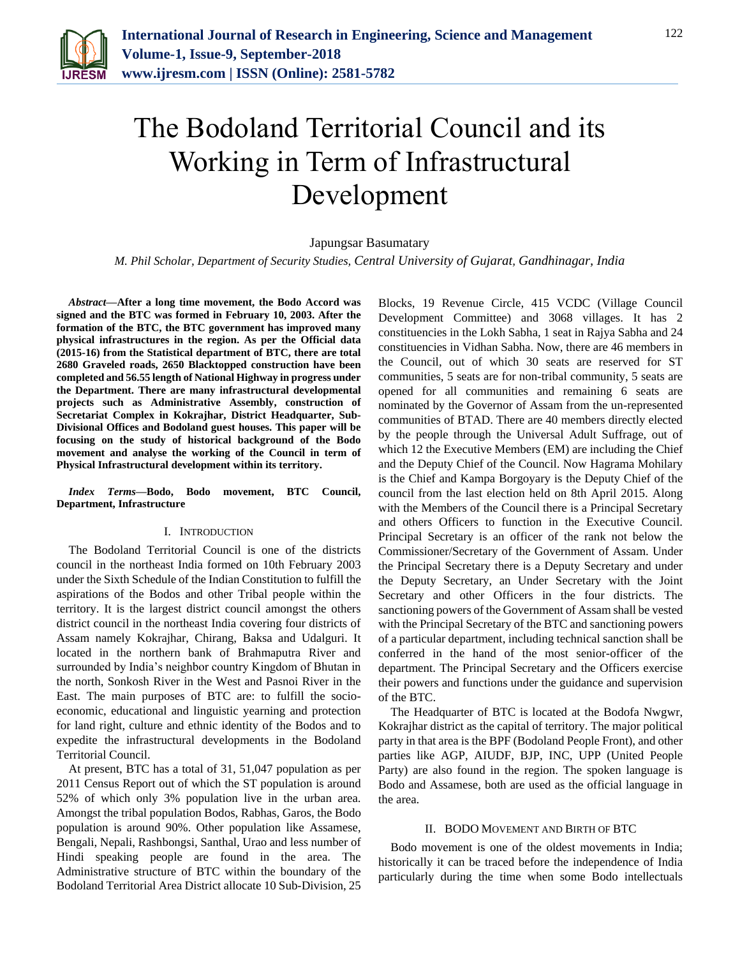

# The Bodoland Territorial Council and its Working in Term of Infrastructural Development

## Japungsar Basumatary

*M. Phil Scholar, Department of Security Studies, Central University of Gujarat, Gandhinagar, India*

*Abstract***—After a long time movement, the Bodo Accord was signed and the BTC was formed in February 10, 2003. After the formation of the BTC, the BTC government has improved many physical infrastructures in the region. As per the Official data (2015-16) from the Statistical department of BTC, there are total 2680 Graveled roads, 2650 Blacktopped construction have been completed and 56.55 length of National Highway in progress under the Department. There are many infrastructural developmental projects such as Administrative Assembly, construction of Secretariat Complex in Kokrajhar, District Headquarter, Sub-Divisional Offices and Bodoland guest houses. This paper will be focusing on the study of historical background of the Bodo movement and analyse the working of the Council in term of Physical Infrastructural development within its territory.**

*Index Terms***—Bodo, Bodo movement, BTC Council, Department, Infrastructure**

#### I. INTRODUCTION

The Bodoland Territorial Council is one of the districts council in the northeast India formed on 10th February 2003 under the Sixth Schedule of the Indian Constitution to fulfill the aspirations of the Bodos and other Tribal people within the territory. It is the largest district council amongst the others district council in the northeast India covering four districts of Assam namely Kokrajhar, Chirang, Baksa and Udalguri. It located in the northern bank of Brahmaputra River and surrounded by India's neighbor country Kingdom of Bhutan in the north, Sonkosh River in the West and Pasnoi River in the East. The main purposes of BTC are: to fulfill the socioeconomic, educational and linguistic yearning and protection for land right, culture and ethnic identity of the Bodos and to expedite the infrastructural developments in the Bodoland Territorial Council.

At present, BTC has a total of 31, 51,047 population as per 2011 Census Report out of which the ST population is around 52% of which only 3% population live in the urban area. Amongst the tribal population Bodos, Rabhas, Garos, the Bodo population is around 90%. Other population like Assamese, Bengali, Nepali, Rashbongsi, Santhal, Urao and less number of Hindi speaking people are found in the area. The Administrative structure of BTC within the boundary of the Bodoland Territorial Area District allocate 10 Sub-Division, 25

Blocks, 19 Revenue Circle, 415 VCDC (Village Council Development Committee) and 3068 villages. It has 2 constituencies in the Lokh Sabha, 1 seat in Rajya Sabha and 24 constituencies in Vidhan Sabha. Now, there are 46 members in the Council, out of which 30 seats are reserved for ST communities, 5 seats are for non-tribal community, 5 seats are opened for all communities and remaining 6 seats are nominated by the Governor of Assam from the un-represented communities of BTAD. There are 40 members directly elected by the people through the Universal Adult Suffrage, out of which 12 the Executive Members (EM) are including the Chief and the Deputy Chief of the Council. Now Hagrama Mohilary is the Chief and Kampa Borgoyary is the Deputy Chief of the council from the last election held on 8th April 2015. Along with the Members of the Council there is a Principal Secretary and others Officers to function in the Executive Council. Principal Secretary is an officer of the rank not below the Commissioner/Secretary of the Government of Assam. Under the Principal Secretary there is a Deputy Secretary and under the Deputy Secretary, an Under Secretary with the Joint Secretary and other Officers in the four districts. The sanctioning powers of the Government of Assam shall be vested with the Principal Secretary of the BTC and sanctioning powers of a particular department, including technical sanction shall be conferred in the hand of the most senior-officer of the department. The Principal Secretary and the Officers exercise their powers and functions under the guidance and supervision of the BTC.

The Headquarter of BTC is located at the Bodofa Nwgwr, Kokrajhar district as the capital of territory. The major political party in that area is the BPF (Bodoland People Front), and other parties like AGP, AIUDF, BJP, INC, UPP (United People Party) are also found in the region. The spoken language is Bodo and Assamese, both are used as the official language in the area.

#### II. BODO MOVEMENT AND BIRTH OF BTC

Bodo movement is one of the oldest movements in India; historically it can be traced before the independence of India particularly during the time when some Bodo intellectuals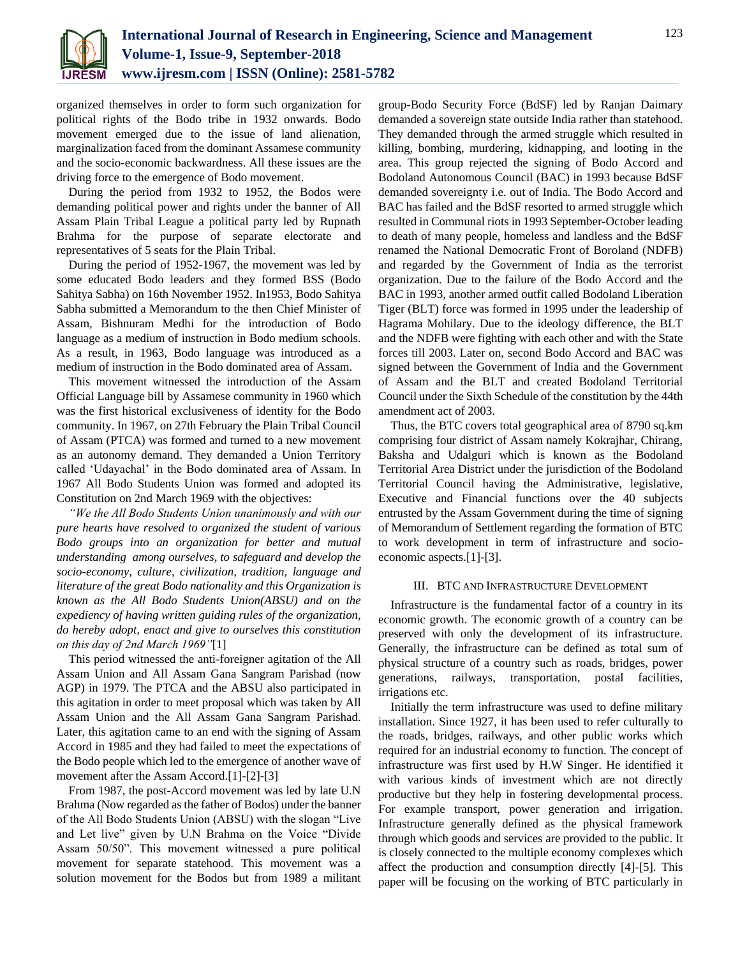

organized themselves in order to form such organization for political rights of the Bodo tribe in 1932 onwards. Bodo movement emerged due to the issue of land alienation, marginalization faced from the dominant Assamese community and the socio-economic backwardness. All these issues are the driving force to the emergence of Bodo movement.

During the period from 1932 to 1952, the Bodos were demanding political power and rights under the banner of All Assam Plain Tribal League a political party led by Rupnath Brahma for the purpose of separate electorate and representatives of 5 seats for the Plain Tribal.

During the period of 1952-1967, the movement was led by some educated Bodo leaders and they formed BSS (Bodo Sahitya Sabha) on 16th November 1952. In1953, Bodo Sahitya Sabha submitted a Memorandum to the then Chief Minister of Assam, Bishnuram Medhi for the introduction of Bodo language as a medium of instruction in Bodo medium schools. As a result, in 1963, Bodo language was introduced as a medium of instruction in the Bodo dominated area of Assam.

This movement witnessed the introduction of the Assam Official Language bill by Assamese community in 1960 which was the first historical exclusiveness of identity for the Bodo community. In 1967, on 27th February the Plain Tribal Council of Assam (PTCA) was formed and turned to a new movement as an autonomy demand. They demanded a Union Territory called 'Udayachal' in the Bodo dominated area of Assam. In 1967 All Bodo Students Union was formed and adopted its Constitution on 2nd March 1969 with the objectives:

*"We the All Bodo Students Union unanimously and with our pure hearts have resolved to organized the student of various Bodo groups into an organization for better and mutual understanding among ourselves, to safeguard and develop the socio-economy, culture, civilization, tradition, language and literature of the great Bodo nationality and this Organization is known as the All Bodo Students Union(ABSU) and on the expediency of having written guiding rules of the organization, do hereby adopt, enact and give to ourselves this constitution on this day of 2nd March 1969"*[1]

This period witnessed the anti-foreigner agitation of the All Assam Union and All Assam Gana Sangram Parishad (now AGP) in 1979. The PTCA and the ABSU also participated in this agitation in order to meet proposal which was taken by All Assam Union and the All Assam Gana Sangram Parishad. Later, this agitation came to an end with the signing of Assam Accord in 1985 and they had failed to meet the expectations of the Bodo people which led to the emergence of another wave of movement after the Assam Accord.[1]-[2]-[3]

From 1987, the post-Accord movement was led by late U.N Brahma (Now regarded as the father of Bodos) under the banner of the All Bodo Students Union (ABSU) with the slogan "Live and Let live" given by U.N Brahma on the Voice "Divide Assam 50/50". This movement witnessed a pure political movement for separate statehood. This movement was a solution movement for the Bodos but from 1989 a militant group-Bodo Security Force (BdSF) led by Ranjan Daimary demanded a sovereign state outside India rather than statehood. They demanded through the armed struggle which resulted in killing, bombing, murdering, kidnapping, and looting in the area. This group rejected the signing of Bodo Accord and Bodoland Autonomous Council (BAC) in 1993 because BdSF demanded sovereignty i.e. out of India. The Bodo Accord and BAC has failed and the BdSF resorted to armed struggle which resulted in Communal riots in 1993 September-October leading to death of many people, homeless and landless and the BdSF renamed the National Democratic Front of Boroland (NDFB) and regarded by the Government of India as the terrorist organization. Due to the failure of the Bodo Accord and the BAC in 1993, another armed outfit called Bodoland Liberation Tiger (BLT) force was formed in 1995 under the leadership of Hagrama Mohilary. Due to the ideology difference, the BLT and the NDFB were fighting with each other and with the State forces till 2003. Later on, second Bodo Accord and BAC was signed between the Government of India and the Government of Assam and the BLT and created Bodoland Territorial Council under the Sixth Schedule of the constitution by the 44th amendment act of 2003.

Thus, the BTC covers total geographical area of 8790 sq.km comprising four district of Assam namely Kokrajhar, Chirang, Baksha and Udalguri which is known as the Bodoland Territorial Area District under the jurisdiction of the Bodoland Territorial Council having the Administrative, legislative, Executive and Financial functions over the 40 subjects entrusted by the Assam Government during the time of signing of Memorandum of Settlement regarding the formation of BTC to work development in term of infrastructure and socioeconomic aspects.[1]-[3].

#### III. BTC AND INFRASTRUCTURE DEVELOPMENT

Infrastructure is the fundamental factor of a country in its economic growth. The economic growth of a country can be preserved with only the development of its infrastructure. Generally, the infrastructure can be defined as total sum of physical structure of a country such as roads, bridges, power generations, railways, transportation, postal facilities, irrigations etc.

Initially the term infrastructure was used to define military installation. Since 1927, it has been used to refer culturally to the roads, bridges, railways, and other public works which required for an industrial economy to function. The concept of infrastructure was first used by H.W Singer. He identified it with various kinds of investment which are not directly productive but they help in fostering developmental process. For example transport, power generation and irrigation. Infrastructure generally defined as the physical framework through which goods and services are provided to the public. It is closely connected to the multiple economy complexes which affect the production and consumption directly [4]-[5]. This paper will be focusing on the working of BTC particularly in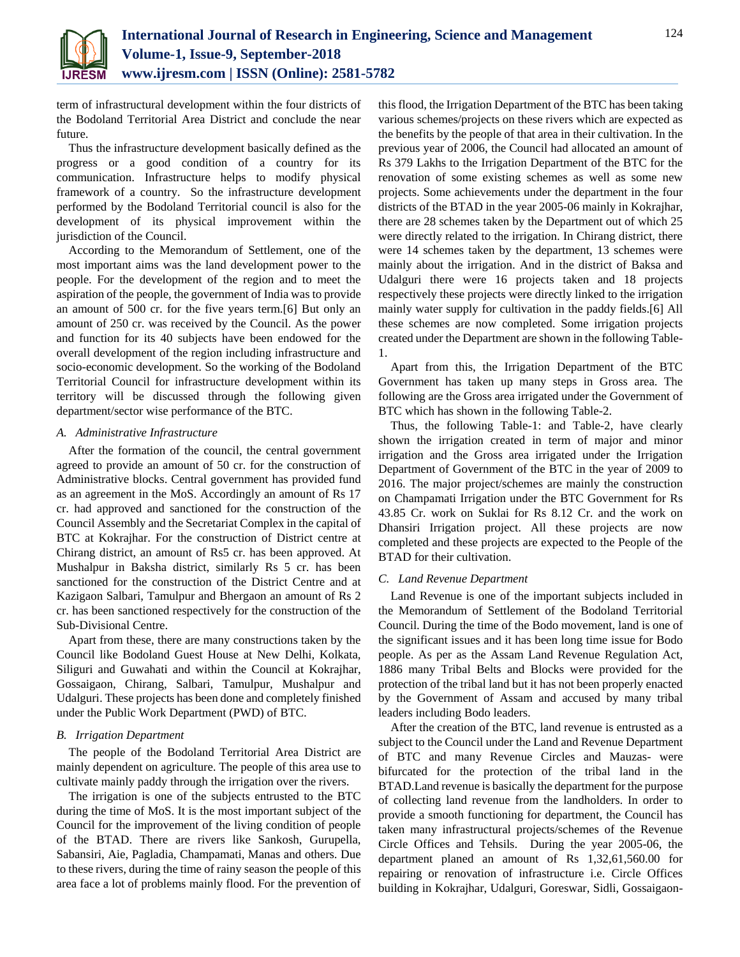

term of infrastructural development within the four districts of the Bodoland Territorial Area District and conclude the near future.

Thus the infrastructure development basically defined as the progress or a good condition of a country for its communication. Infrastructure helps to modify physical framework of a country. So the infrastructure development performed by the Bodoland Territorial council is also for the development of its physical improvement within the jurisdiction of the Council.

According to the Memorandum of Settlement, one of the most important aims was the land development power to the people. For the development of the region and to meet the aspiration of the people, the government of India was to provide an amount of 500 cr. for the five years term.[6] But only an amount of 250 cr. was received by the Council. As the power and function for its 40 subjects have been endowed for the overall development of the region including infrastructure and socio-economic development. So the working of the Bodoland Territorial Council for infrastructure development within its territory will be discussed through the following given department/sector wise performance of the BTC.

#### *A. Administrative Infrastructure*

After the formation of the council, the central government agreed to provide an amount of 50 cr. for the construction of Administrative blocks. Central government has provided fund as an agreement in the MoS. Accordingly an amount of Rs 17 cr. had approved and sanctioned for the construction of the Council Assembly and the Secretariat Complex in the capital of BTC at Kokrajhar. For the construction of District centre at Chirang district, an amount of Rs5 cr. has been approved. At Mushalpur in Baksha district, similarly Rs 5 cr. has been sanctioned for the construction of the District Centre and at Kazigaon Salbari, Tamulpur and Bhergaon an amount of Rs 2 cr. has been sanctioned respectively for the construction of the Sub-Divisional Centre.

Apart from these, there are many constructions taken by the Council like Bodoland Guest House at New Delhi, Kolkata, Siliguri and Guwahati and within the Council at Kokrajhar, Gossaigaon, Chirang, Salbari, Tamulpur, Mushalpur and Udalguri. These projects has been done and completely finished under the Public Work Department (PWD) of BTC.

#### *B. Irrigation Department*

The people of the Bodoland Territorial Area District are mainly dependent on agriculture. The people of this area use to cultivate mainly paddy through the irrigation over the rivers.

The irrigation is one of the subjects entrusted to the BTC during the time of MoS. It is the most important subject of the Council for the improvement of the living condition of people of the BTAD. There are rivers like Sankosh, Gurupella, Sabansiri, Aie, Pagladia, Champamati, Manas and others. Due to these rivers, during the time of rainy season the people of this area face a lot of problems mainly flood. For the prevention of this flood, the Irrigation Department of the BTC has been taking various schemes/projects on these rivers which are expected as the benefits by the people of that area in their cultivation. In the previous year of 2006, the Council had allocated an amount of Rs 379 Lakhs to the Irrigation Department of the BTC for the renovation of some existing schemes as well as some new projects. Some achievements under the department in the four districts of the BTAD in the year 2005-06 mainly in Kokrajhar, there are 28 schemes taken by the Department out of which 25 were directly related to the irrigation. In Chirang district, there were 14 schemes taken by the department, 13 schemes were mainly about the irrigation. And in the district of Baksa and Udalguri there were 16 projects taken and 18 projects respectively these projects were directly linked to the irrigation mainly water supply for cultivation in the paddy fields.[6] All these schemes are now completed. Some irrigation projects created under the Department are shown in the following Table-1.

Apart from this, the Irrigation Department of the BTC Government has taken up many steps in Gross area. The following are the Gross area irrigated under the Government of BTC which has shown in the following Table-2.

Thus, the following Table-1: and Table-2, have clearly shown the irrigation created in term of major and minor irrigation and the Gross area irrigated under the Irrigation Department of Government of the BTC in the year of 2009 to 2016. The major project/schemes are mainly the construction on Champamati Irrigation under the BTC Government for Rs 43.85 Cr. work on Suklai for Rs 8.12 Cr. and the work on Dhansiri Irrigation project. All these projects are now completed and these projects are expected to the People of the BTAD for their cultivation.

### *C. Land Revenue Department*

Land Revenue is one of the important subjects included in the Memorandum of Settlement of the Bodoland Territorial Council. During the time of the Bodo movement, land is one of the significant issues and it has been long time issue for Bodo people. As per as the Assam Land Revenue Regulation Act, 1886 many Tribal Belts and Blocks were provided for the protection of the tribal land but it has not been properly enacted by the Government of Assam and accused by many tribal leaders including Bodo leaders.

After the creation of the BTC, land revenue is entrusted as a subject to the Council under the Land and Revenue Department of BTC and many Revenue Circles and Mauzas- were bifurcated for the protection of the tribal land in the BTAD.Land revenue is basically the department for the purpose of collecting land revenue from the landholders. In order to provide a smooth functioning for department, the Council has taken many infrastructural projects/schemes of the Revenue Circle Offices and Tehsils. During the year 2005-06, the department planed an amount of Rs 1,32,61,560.00 for repairing or renovation of infrastructure i.e. Circle Offices building in Kokrajhar, Udalguri, Goreswar, Sidli, Gossaigaon-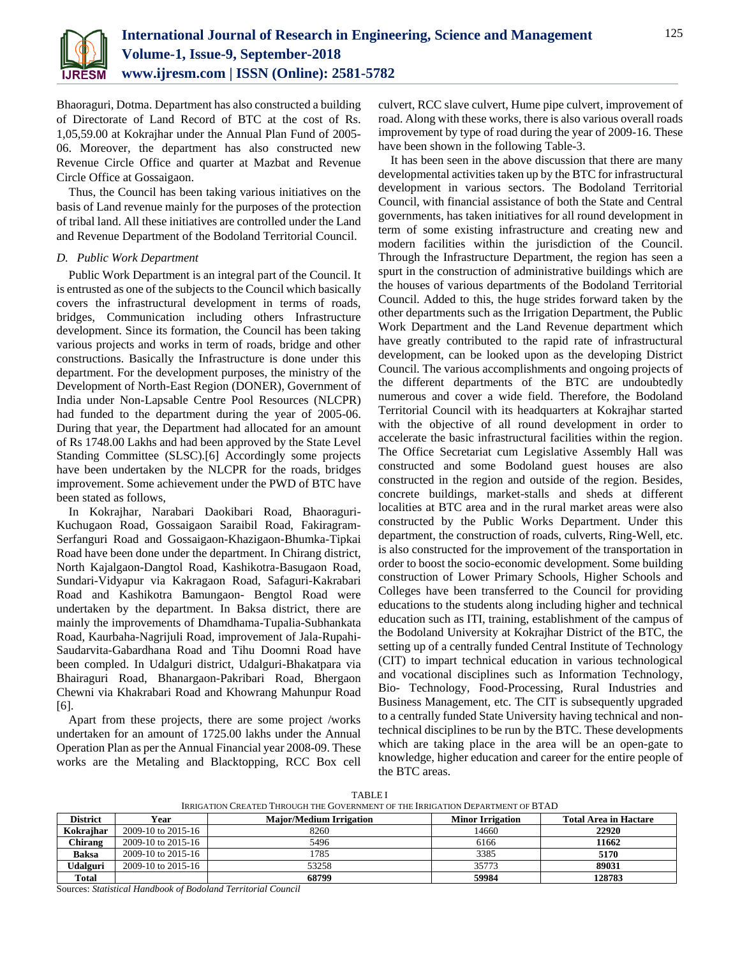

Bhaoraguri, Dotma. Department has also constructed a building of Directorate of Land Record of BTC at the cost of Rs. 1,05,59.00 at Kokrajhar under the Annual Plan Fund of 2005- 06. Moreover, the department has also constructed new Revenue Circle Office and quarter at Mazbat and Revenue Circle Office at Gossaigaon.

Thus, the Council has been taking various initiatives on the basis of Land revenue mainly for the purposes of the protection of tribal land. All these initiatives are controlled under the Land and Revenue Department of the Bodoland Territorial Council.

#### *D. Public Work Department*

Public Work Department is an integral part of the Council. It is entrusted as one of the subjects to the Council which basically covers the infrastructural development in terms of roads, bridges, Communication including others Infrastructure development. Since its formation, the Council has been taking various projects and works in term of roads, bridge and other constructions. Basically the Infrastructure is done under this department. For the development purposes, the ministry of the Development of North-East Region (DONER), Government of India under Non-Lapsable Centre Pool Resources (NLCPR) had funded to the department during the year of 2005-06. During that year, the Department had allocated for an amount of Rs 1748.00 Lakhs and had been approved by the State Level Standing Committee (SLSC).[6] Accordingly some projects have been undertaken by the NLCPR for the roads, bridges improvement. Some achievement under the PWD of BTC have been stated as follows,

In Kokrajhar, Narabari Daokibari Road, Bhaoraguri-Kuchugaon Road, Gossaigaon Saraibil Road, Fakiragram-Serfanguri Road and Gossaigaon-Khazigaon-Bhumka-Tipkai Road have been done under the department. In Chirang district, North Kajalgaon-Dangtol Road, Kashikotra-Basugaon Road, Sundari-Vidyapur via Kakragaon Road, Safaguri-Kakrabari Road and Kashikotra Bamungaon- Bengtol Road were undertaken by the department. In Baksa district, there are mainly the improvements of Dhamdhama-Tupalia-Subhankata Road, Kaurbaha-Nagrijuli Road, improvement of Jala-Rupahi-Saudarvita-Gabardhana Road and Tihu Doomni Road have been compled. In Udalguri district, Udalguri-Bhakatpara via Bhairaguri Road, Bhanargaon-Pakribari Road, Bhergaon Chewni via Khakrabari Road and Khowrang Mahunpur Road [6].

Apart from these projects, there are some project /works undertaken for an amount of 1725.00 lakhs under the Annual Operation Plan as per the Annual Financial year 2008-09. These works are the Metaling and Blacktopping, RCC Box cell culvert, RCC slave culvert, Hume pipe culvert, improvement of road. Along with these works, there is also various overall roads improvement by type of road during the year of 2009-16. These have been shown in the following Table-3.

It has been seen in the above discussion that there are many developmental activities taken up by the BTC for infrastructural development in various sectors. The Bodoland Territorial Council, with financial assistance of both the State and Central governments, has taken initiatives for all round development in term of some existing infrastructure and creating new and modern facilities within the jurisdiction of the Council. Through the Infrastructure Department, the region has seen a spurt in the construction of administrative buildings which are the houses of various departments of the Bodoland Territorial Council. Added to this, the huge strides forward taken by the other departments such as the Irrigation Department, the Public Work Department and the Land Revenue department which have greatly contributed to the rapid rate of infrastructural development, can be looked upon as the developing District Council. The various accomplishments and ongoing projects of the different departments of the BTC are undoubtedly numerous and cover a wide field. Therefore, the Bodoland Territorial Council with its headquarters at Kokrajhar started with the objective of all round development in order to accelerate the basic infrastructural facilities within the region. The Office Secretariat cum Legislative Assembly Hall was constructed and some Bodoland guest houses are also constructed in the region and outside of the region. Besides, concrete buildings, market-stalls and sheds at different localities at BTC area and in the rural market areas were also constructed by the Public Works Department. Under this department, the construction of roads, culverts, Ring-Well, etc. is also constructed for the improvement of the transportation in order to boost the socio-economic development. Some building construction of Lower Primary Schools, Higher Schools and Colleges have been transferred to the Council for providing educations to the students along including higher and technical education such as ITI, training, establishment of the campus of the Bodoland University at Kokrajhar District of the BTC, the setting up of a centrally funded Central Institute of Technology (CIT) to impart technical education in various technological and vocational disciplines such as Information Technology, Bio- Technology, Food-Processing, Rural Industries and Business Management, etc. The CIT is subsequently upgraded to a centrally funded State University having technical and nontechnical disciplines to be run by the BTC. These developments which are taking place in the area will be an open-gate to knowledge, higher education and career for the entire people of the BTC areas.

**TABLE I** IRRIGATION CREATED THROUGH THE GOVERNMENT OF THE IRRIGATION DEPARTMENT OF BTAD

| <b>District</b> | Year               | <b>Maior/Medium Irrigation</b> | <b>Minor Irrigation</b> | <b>Total Area in Hactare</b> |  |  |  |
|-----------------|--------------------|--------------------------------|-------------------------|------------------------------|--|--|--|
| Kokraihar       | 2009-10 to 2015-16 | 8260                           | 14660                   | 22920                        |  |  |  |
| Chirang         | 2009-10 to 2015-16 | 5496                           | 6166                    | 11662                        |  |  |  |
| <b>Baksa</b>    | 2009-10 to 2015-16 | 1785                           | 3385                    | 5170                         |  |  |  |
| Udalguri        | 2009-10 to 2015-16 | 53258                          | 35773                   | 89031                        |  |  |  |
| <b>Total</b>    |                    | 68799                          | 59984                   | 128783                       |  |  |  |

Sources: *Statistical Handbook of Bodoland Territorial Council*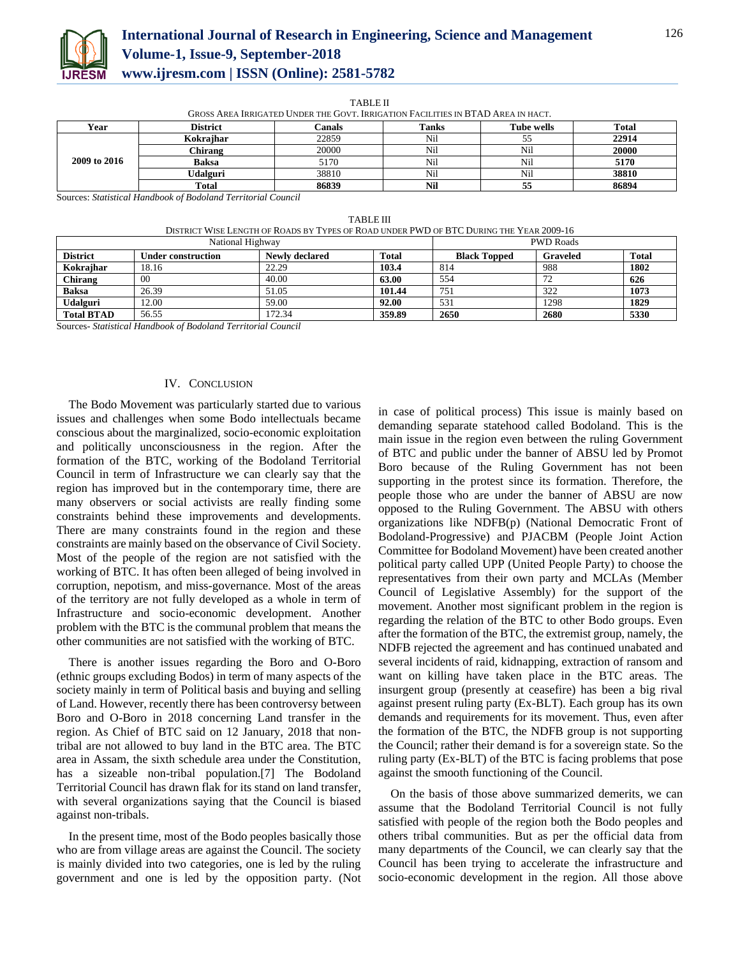

# **International Journal of Research in Engineering, Science and Management Volume-1, Issue-9, September-2018 www.ijresm.com | ISSN (Online): 2581-5782**

TABLE II

| GROSS AREA IRRIGATED UNDER THE GOVT. IRRIGATION FACILITIES IN BTAD AREA IN HACT. |                 |        |       |                   |              |  |  |
|----------------------------------------------------------------------------------|-----------------|--------|-------|-------------------|--------------|--|--|
| Year                                                                             | <b>District</b> | Canals | Tanks | <b>Tube wells</b> | <b>Total</b> |  |  |
|                                                                                  | Kokraihar       | 22859  | Nil   |                   | 22914        |  |  |
|                                                                                  | Chirang         | 20000  | Nil   | Nil               | 20000        |  |  |
| 2009 to 2016                                                                     | <b>Baksa</b>    | 5170   | Nil   | Nil               | 5170         |  |  |
|                                                                                  | Udalguri        | 38810  | Nil   | Nil               | 38810        |  |  |
|                                                                                  | Total           | 86839  | Nil   |                   | 86894        |  |  |

Sources: *Statistical Handbook of Bodoland Territorial Council*

| <b>TABLE III</b> |
|------------------|
|------------------|

DISTRICT WISE LENGTH OF ROADS BY TYPES OF ROAD UNDER PWD OF BTC DURING THE YEAR 2009-16

| National Highway  |                           |                |              | <b>PWD Roads</b>    |                 |       |
|-------------------|---------------------------|----------------|--------------|---------------------|-----------------|-------|
| <b>District</b>   | <b>Under construction</b> | Newly declared | <b>Total</b> | <b>Black Topped</b> | <b>Graveled</b> | Total |
| Kokraihar         | 18.16                     | 22.29          | 103.4        | 814                 | 988             | 1802  |
| Chirang           | 00                        | 40.00          | 63.00        | 554                 | 72              | 626   |
| <b>Baksa</b>      | 26.39                     | 51.05          | 101.44       | 751                 | 322             | 1073  |
| <b>Udalguri</b>   | 12.00                     | 59.00          | 92.00        | 531                 | 1298            | 1829  |
| <b>Total BTAD</b> | 56.55                     | 172.34         | 359.89       | 2650                | 2680            | 5330  |

Sources- *Statistical Handbook of Bodoland Territorial Council*

#### IV. CONCLUSION

The Bodo Movement was particularly started due to various issues and challenges when some Bodo intellectuals became conscious about the marginalized, socio-economic exploitation and politically unconsciousness in the region. After the formation of the BTC, working of the Bodoland Territorial Council in term of Infrastructure we can clearly say that the region has improved but in the contemporary time, there are many observers or social activists are really finding some constraints behind these improvements and developments. There are many constraints found in the region and these constraints are mainly based on the observance of Civil Society. Most of the people of the region are not satisfied with the working of BTC. It has often been alleged of being involved in corruption, nepotism, and miss-governance. Most of the areas of the territory are not fully developed as a whole in term of Infrastructure and socio-economic development. Another problem with the BTC is the communal problem that means the other communities are not satisfied with the working of BTC.

There is another issues regarding the Boro and O-Boro (ethnic groups excluding Bodos) in term of many aspects of the society mainly in term of Political basis and buying and selling of Land. However, recently there has been controversy between Boro and O-Boro in 2018 concerning Land transfer in the region. As Chief of BTC said on 12 January, 2018 that nontribal are not allowed to buy land in the BTC area. The BTC area in Assam, the sixth schedule area under the Constitution, has a sizeable non-tribal population.[7] The Bodoland Territorial Council has drawn flak for its stand on land transfer, with several organizations saying that the Council is biased against non-tribals.

In the present time, most of the Bodo peoples basically those who are from village areas are against the Council. The society is mainly divided into two categories, one is led by the ruling government and one is led by the opposition party. (Not in case of political process) This issue is mainly based on demanding separate statehood called Bodoland. This is the main issue in the region even between the ruling Government of BTC and public under the banner of ABSU led by Promot Boro because of the Ruling Government has not been supporting in the protest since its formation. Therefore, the people those who are under the banner of ABSU are now opposed to the Ruling Government. The ABSU with others organizations like NDFB(p) (National Democratic Front of Bodoland-Progressive) and PJACBM (People Joint Action Committee for Bodoland Movement) have been created another political party called UPP (United People Party) to choose the representatives from their own party and MCLAs (Member Council of Legislative Assembly) for the support of the movement. Another most significant problem in the region is regarding the relation of the BTC to other Bodo groups. Even after the formation of the BTC, the extremist group, namely, the NDFB rejected the agreement and has continued unabated and several incidents of raid, kidnapping, extraction of ransom and want on killing have taken place in the BTC areas. The insurgent group (presently at ceasefire) has been a big rival against present ruling party (Ex-BLT). Each group has its own demands and requirements for its movement. Thus, even after the formation of the BTC, the NDFB group is not supporting the Council; rather their demand is for a sovereign state. So the ruling party (Ex-BLT) of the BTC is facing problems that pose against the smooth functioning of the Council.

On the basis of those above summarized demerits, we can assume that the Bodoland Territorial Council is not fully satisfied with people of the region both the Bodo peoples and others tribal communities. But as per the official data from many departments of the Council, we can clearly say that the Council has been trying to accelerate the infrastructure and socio-economic development in the region. All those above